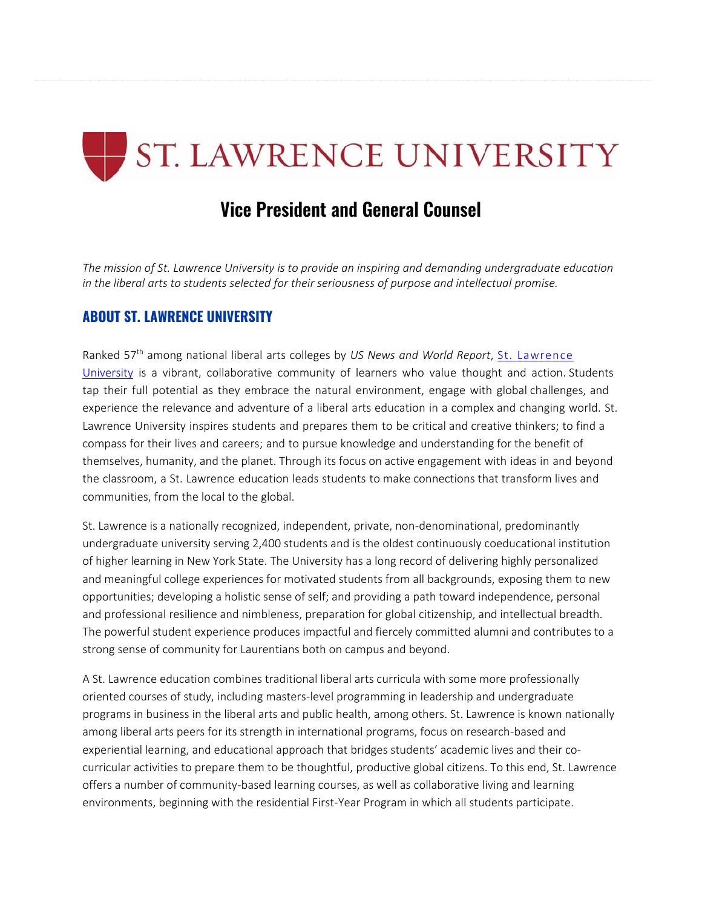# ST. LAWRENCE UNIVERSITY

# **Vice President and General Counsel**

*The mission of St. Lawrence University is to provide an inspiring and demanding undergraduate education in the liberal arts to students selected for their seriousness of purpose and intellectual promise.*

#### **ABOUT ST. LAWRENCE UNIVERSITY**

Ranked 57th among national liberal arts colleges by *US News and World Report*, St. [Lawrence](https://www.stlawu.edu/) [University](https://www.stlawu.edu/) is a vibrant, collaborative community of learners who value thought and action. Students tap their full potential as they embrace the natural environment, engage with global challenges, and experience the relevance and adventure of a liberal arts education in a complex and changing world. St. Lawrence University inspires students and prepares them to be critical and creative thinkers; to find a compass for their lives and careers; and to pursue knowledge and understanding for the benefit of themselves, humanity, and the planet. Through its focus on active engagement with ideas in and beyond the classroom, a St. Lawrence education leads students to make connections that transform lives and communities, from the local to the global.

St. Lawrence is a nationally recognized, independent, private, non-denominational, predominantly undergraduate university serving 2,400 students and is the oldest continuously coeducational institution of higher learning in New York State. The University has a long record of delivering highly personalized and meaningful college experiences for motivated students from all backgrounds, exposing them to new opportunities; developing a holistic sense of self; and providing a path toward independence, personal and professional resilience and nimbleness, preparation for global citizenship, and intellectual breadth. The powerful student experience produces impactful and fiercely committed alumni and contributes to a strong sense of community for Laurentians both on campus and beyond.

A St. Lawrence education combines traditional liberal arts curricula with some more professionally oriented courses of study, including masters-level programming in leadership and undergraduate programs in business in the liberal arts and public health, among others. St. Lawrence is known nationally among liberal arts peers for its strength in international programs, focus on research-based and experiential learning, and educational approach that bridges students' academic lives and their cocurricular activities to prepare them to be thoughtful, productive global citizens. To this end, St. Lawrence offers a number of community-based learning courses, as well as collaborative living and learning environments, beginning with the residential First-Year Program in which all students participate.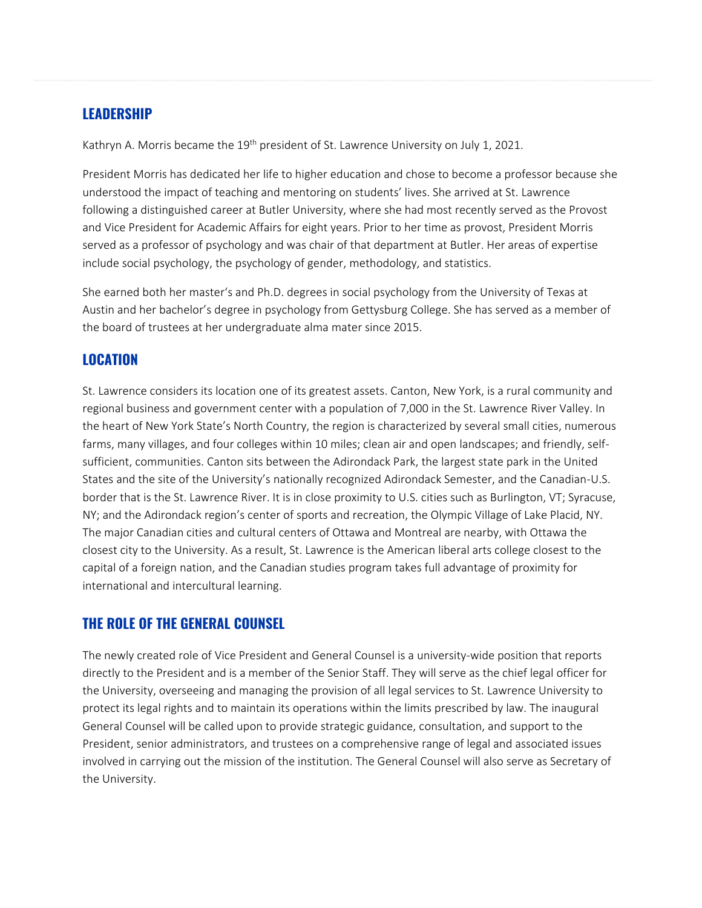#### **LEADERSHIP**

Kathryn A. Morris became the 19<sup>th</sup> president of St. Lawrence University on July 1, 2021.

President Morris has dedicated her life to higher education and chose to become a professor because she understood the impact of teaching and mentoring on students' lives. She arrived at St. Lawrence following a distinguished career at Butler University, where she had most recently served as the Provost and Vice President for Academic Affairs for eight years. Prior to her time as provost, President Morris served as a professor of psychology and was chair of that department at Butler. Her areas of expertise include social psychology, the psychology of gender, methodology, and statistics.

She earned both her master's and Ph.D. degrees in social psychology from the University of Texas at Austin and her bachelor's degree in psychology from Gettysburg College. She has served as a member of the board of trustees at her undergraduate alma mater since 2015.

#### **LOCATION**

St. Lawrence considers its location one of its greatest assets. Canton, New York, is a rural community and regional business and government center with a population of 7,000 in the St. Lawrence River Valley. In the heart of New York State's North Country, the region is characterized by several small cities, numerous farms, many villages, and four colleges within 10 miles; clean air and open landscapes; and friendly, selfsufficient, communities. Canton sits between the Adirondack Park, the largest state park in the United States and the site of the University's nationally recognized Adirondack Semester, and the Canadian-U.S. border that is the St. Lawrence River. It is in close proximity to U.S. cities such as Burlington, VT; Syracuse, NY; and the Adirondack region's center of sports and recreation, the Olympic Village of Lake Placid, NY. The major Canadian cities and cultural centers of Ottawa and Montreal are nearby, with Ottawa the closest city to the University. As a result, St. Lawrence is the American liberal arts college closest to the capital of a foreign nation, and the Canadian studies program takes full advantage of proximity for international and intercultural learning.

#### **THE ROLE OF THE GENERAL COUNSEL**

The newly created role of Vice President and General Counsel is a university-wide position that reports directly to the President and is a member of the Senior Staff. They will serve as the chief legal officer for the University, overseeing and managing the provision of all legal services to St. Lawrence University to protect its legal rights and to maintain its operations within the limits prescribed by law. The inaugural General Counsel will be called upon to provide strategic guidance, consultation, and support to the President, senior administrators, and trustees on a comprehensive range of legal and associated issues involved in carrying out the mission of the institution. The General Counsel will also serve as Secretary of the University.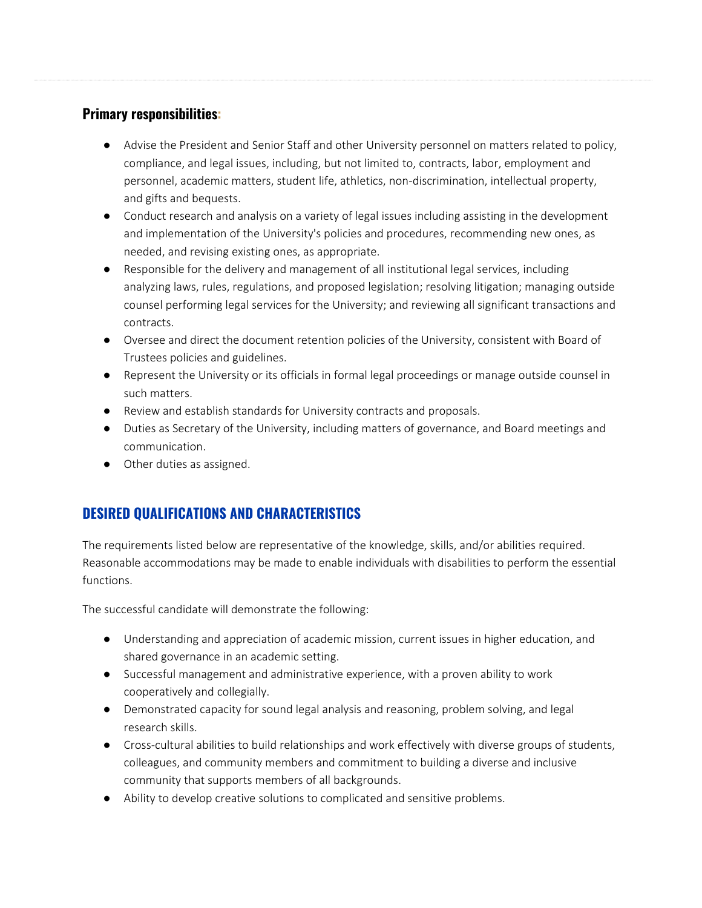#### **Primary responsibilities:**

- Advise the President and Senior Staff and other University personnel on matters related to policy, compliance, and legal issues, including, but not limited to, contracts, labor, employment and personnel, academic matters, student life, athletics, non-discrimination, intellectual property, and gifts and bequests.
- Conduct research and analysis on a variety of legal issues including assisting in the development and implementation of the University's policies and procedures, recommending new ones, as needed, and revising existing ones, as appropriate.
- Responsible for the delivery and management of all institutional legal services, including analyzing laws, rules, regulations, and proposed legislation; resolving litigation; managing outside counsel performing legal services for the University; and reviewing all significant transactions and contracts.
- Oversee and direct the document retention policies of the University, consistent with Board of Trustees policies and guidelines.
- Represent the University or its officials in formal legal proceedings or manage outside counsel in such matters.
- Review and establish standards for University contracts and proposals.
- Duties as Secretary of the University, including matters of governance, and Board meetings and communication.
- Other duties as assigned.

# **DESIRED QUALIFICATIONS AND CHARACTERISTICS**

The requirements listed below are representative of the knowledge, skills, and/or abilities required. Reasonable accommodations may be made to enable individuals with disabilities to perform the essential functions.

The successful candidate will demonstrate the following:

- Understanding and appreciation of academic mission, current issues in higher education, and shared governance in an academic setting.
- Successful management and administrative experience, with a proven ability to work cooperatively and collegially.
- Demonstrated capacity for sound legal analysis and reasoning, problem solving, and legal research skills.
- Cross-cultural abilities to build relationships and work effectively with diverse groups of students, colleagues, and community members and commitment to building a diverse and inclusive community that supports members of all backgrounds.
- Ability to develop creative solutions to complicated and sensitive problems.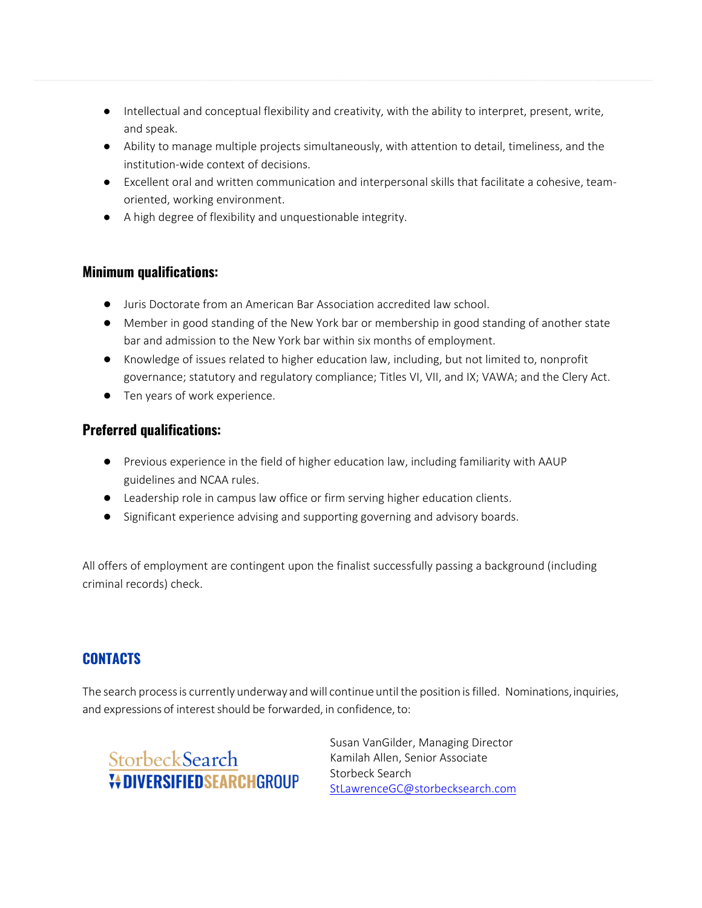- Intellectual and conceptual flexibility and creativity, with the ability to interpret, present, write, and speak.
- Ability to manage multiple projects simultaneously, with attention to detail, timeliness, and the institution-wide context of decisions.
- Excellent oral and written communication and interpersonal skills that facilitate a cohesive, teamoriented, working environment.
- A high degree of flexibility and unquestionable integrity.

#### **Minimum qualifications:**

- Juris Doctorate from an American Bar Association accredited law school.
- Member in good standing of the New York bar or membership in good standing of another state bar and admission to the New York bar within six months of employment.
- Knowledge of issues related to higher education law, including, but not limited to, nonprofit governance; statutory and regulatory compliance; Titles VI, VII, and IX; VAWA; and the Clery Act.
- Ten years of work experience.

# **Preferred qualifications:**

- Previous experience in the field of higher education law, including familiarity with AAUP guidelines and NCAA rules.
- Leadership role in campus law office or firm serving higher education clients.
- Significant experience advising and supporting governing and advisory boards.

All offers of employment are contingent upon the finalist successfully passing a background (including criminal records) check.

# **CONTACTS**

The search process is currently underway and will continue until the position is filled. Nominations, inquiries, and expressions of interest should be forwarded, in confidence, to:



Susan VanGilder, Managing Director Kamilah Allen, Senior Associate Storbeck Search [StLawrenceGC@storbecksearch.com](mailto:StLawrenceGC@storbecksearch.com)